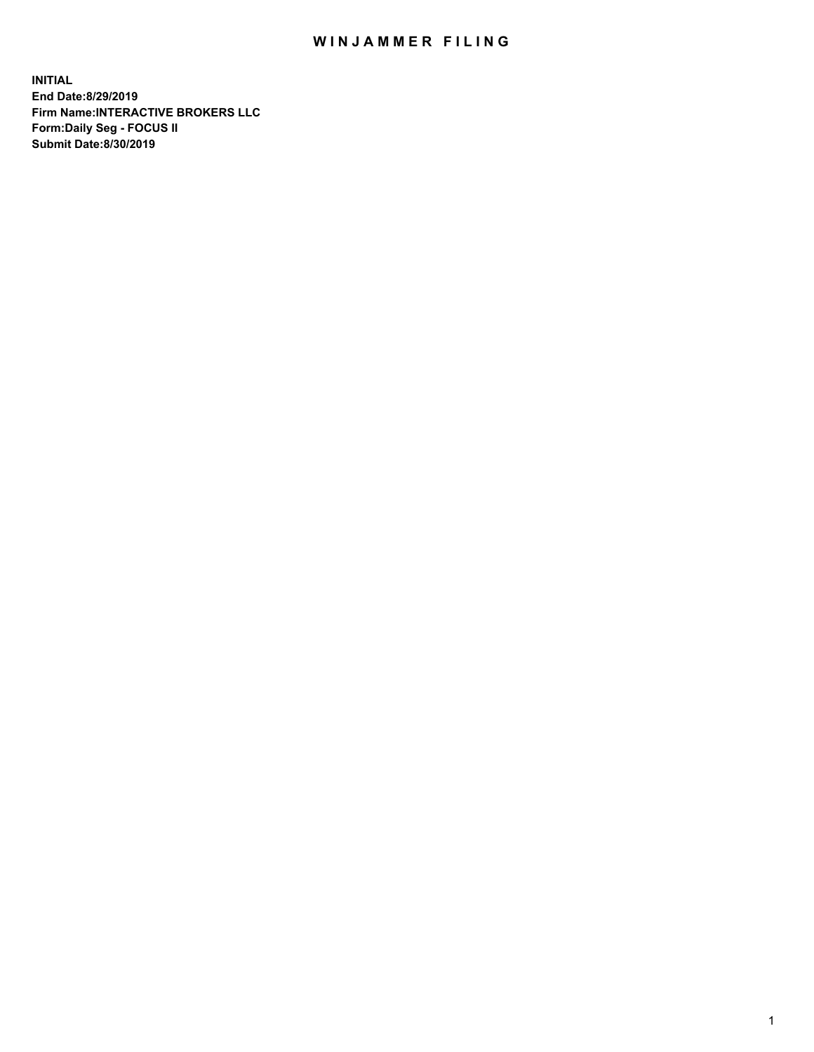## WIN JAMMER FILING

**INITIAL End Date:8/29/2019 Firm Name:INTERACTIVE BROKERS LLC Form:Daily Seg - FOCUS II Submit Date:8/30/2019**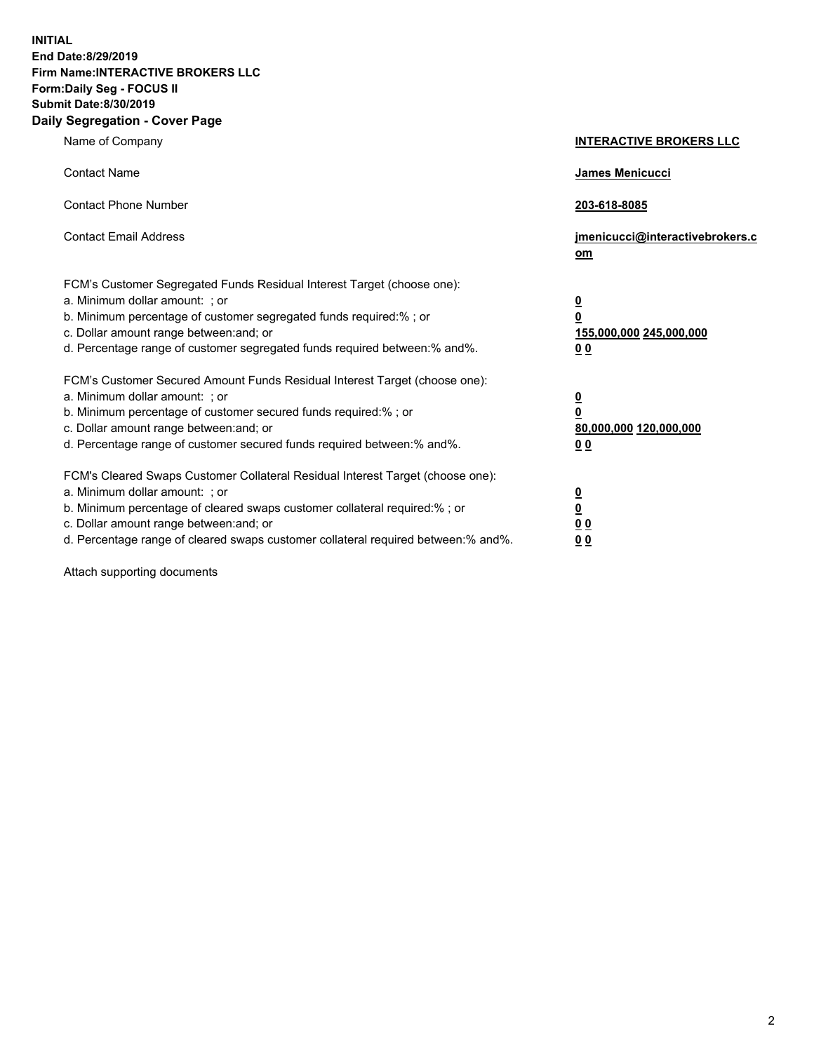**INITIAL End Date:8/29/2019 Firm Name:INTERACTIVE BROKERS LLC Form:Daily Seg - FOCUS II Submit Date:8/30/2019 Daily Segregation - Cover Page**

| Name of Company                                                                                                                                                                                                                                                                                                                | <b>INTERACTIVE BROKERS LLC</b>                                                                  |
|--------------------------------------------------------------------------------------------------------------------------------------------------------------------------------------------------------------------------------------------------------------------------------------------------------------------------------|-------------------------------------------------------------------------------------------------|
| <b>Contact Name</b>                                                                                                                                                                                                                                                                                                            | James Menicucci                                                                                 |
| <b>Contact Phone Number</b>                                                                                                                                                                                                                                                                                                    | 203-618-8085                                                                                    |
| <b>Contact Email Address</b>                                                                                                                                                                                                                                                                                                   | jmenicucci@interactivebrokers.c<br>om                                                           |
| FCM's Customer Segregated Funds Residual Interest Target (choose one):<br>a. Minimum dollar amount: ; or<br>b. Minimum percentage of customer segregated funds required:% ; or<br>c. Dollar amount range between: and; or<br>d. Percentage range of customer segregated funds required between:% and%.                         | $\overline{\mathbf{0}}$<br>$\overline{\mathbf{0}}$<br>155,000,000 245,000,000<br>0 <sub>0</sub> |
| FCM's Customer Secured Amount Funds Residual Interest Target (choose one):<br>a. Minimum dollar amount: ; or<br>b. Minimum percentage of customer secured funds required:% ; or<br>c. Dollar amount range between: and; or<br>d. Percentage range of customer secured funds required between:% and%.                           | $\overline{\mathbf{0}}$<br>0<br>80,000,000 120,000,000<br>0 <sub>0</sub>                        |
| FCM's Cleared Swaps Customer Collateral Residual Interest Target (choose one):<br>a. Minimum dollar amount: ; or<br>b. Minimum percentage of cleared swaps customer collateral required:% ; or<br>c. Dollar amount range between: and; or<br>d. Percentage range of cleared swaps customer collateral required between:% and%. | $\overline{\mathbf{0}}$<br><u>0</u><br>$\underline{0}$ $\underline{0}$<br>00                    |

Attach supporting documents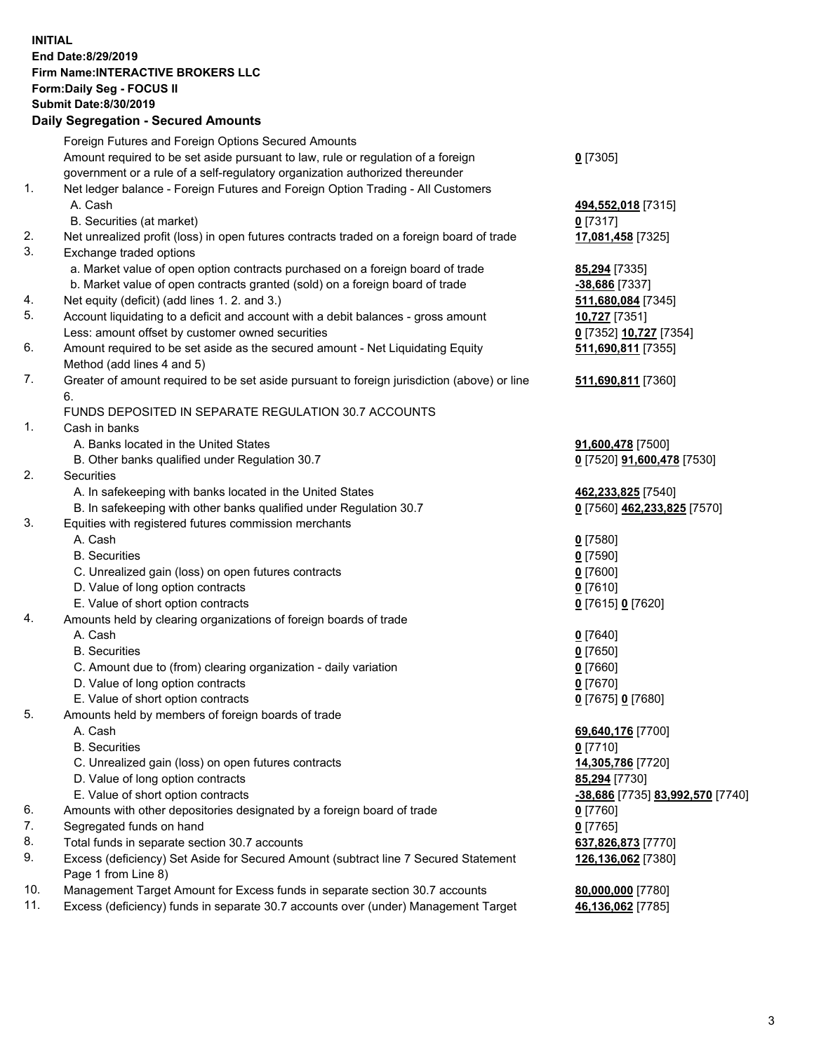## **INITIAL End Date:8/29/2019 Firm Name:INTERACTIVE BROKERS LLC Form:Daily Seg - FOCUS II Submit Date:8/30/2019 Daily Segregation - Secured Amounts**

|     | Dany Jegregation - Jecureu Aniounts                                                                     |                                  |
|-----|---------------------------------------------------------------------------------------------------------|----------------------------------|
|     | Foreign Futures and Foreign Options Secured Amounts                                                     |                                  |
|     | Amount required to be set aside pursuant to law, rule or regulation of a foreign                        | $0$ [7305]                       |
|     | government or a rule of a self-regulatory organization authorized thereunder                            |                                  |
| 1.  | Net ledger balance - Foreign Futures and Foreign Option Trading - All Customers                         |                                  |
|     | A. Cash                                                                                                 | 494,552,018 [7315]               |
|     | B. Securities (at market)                                                                               | $0$ [7317]                       |
| 2.  | Net unrealized profit (loss) in open futures contracts traded on a foreign board of trade               | 17,081,458 [7325]                |
| 3.  | Exchange traded options                                                                                 |                                  |
|     | a. Market value of open option contracts purchased on a foreign board of trade                          | 85,294 [7335]                    |
|     | b. Market value of open contracts granted (sold) on a foreign board of trade                            | -38,686 [7337]                   |
| 4.  | Net equity (deficit) (add lines 1. 2. and 3.)                                                           | 511,680,084 [7345]               |
| 5.  | Account liquidating to a deficit and account with a debit balances - gross amount                       | 10,727 [7351]                    |
|     | Less: amount offset by customer owned securities                                                        | 0 [7352] 10,727 [7354]           |
| 6.  | Amount required to be set aside as the secured amount - Net Liquidating Equity                          | 511,690,811 [7355]               |
|     | Method (add lines 4 and 5)                                                                              |                                  |
| 7.  | Greater of amount required to be set aside pursuant to foreign jurisdiction (above) or line             | 511,690,811 [7360]               |
|     | 6.                                                                                                      |                                  |
|     | FUNDS DEPOSITED IN SEPARATE REGULATION 30.7 ACCOUNTS                                                    |                                  |
| 1.  | Cash in banks                                                                                           |                                  |
|     | A. Banks located in the United States                                                                   | 91,600,478 [7500]                |
|     | B. Other banks qualified under Regulation 30.7                                                          | 0 [7520] 91,600,478 [7530]       |
| 2.  | Securities                                                                                              |                                  |
|     | A. In safekeeping with banks located in the United States                                               | 462,233,825 [7540]               |
|     | B. In safekeeping with other banks qualified under Regulation 30.7                                      | 0 [7560] 462,233,825 [7570]      |
| 3.  | Equities with registered futures commission merchants                                                   |                                  |
|     | A. Cash                                                                                                 | $0$ [7580]                       |
|     | <b>B.</b> Securities                                                                                    | $0$ [7590]                       |
|     | C. Unrealized gain (loss) on open futures contracts                                                     | $0$ [7600]                       |
|     | D. Value of long option contracts                                                                       | $0$ [7610]                       |
| 4.  | E. Value of short option contracts<br>Amounts held by clearing organizations of foreign boards of trade | 0 [7615] 0 [7620]                |
|     | A. Cash                                                                                                 | $0$ [7640]                       |
|     | <b>B.</b> Securities                                                                                    | $0$ [7650]                       |
|     | C. Amount due to (from) clearing organization - daily variation                                         | $0$ [7660]                       |
|     | D. Value of long option contracts                                                                       | 0 [7670]                         |
|     | E. Value of short option contracts                                                                      | 0 [7675] 0 [7680]                |
| 5.  | Amounts held by members of foreign boards of trade                                                      |                                  |
|     | A. Cash                                                                                                 | 69,640,176 [7700]                |
|     | <b>B.</b> Securities                                                                                    | $0$ [7710]                       |
|     | C. Unrealized gain (loss) on open futures contracts                                                     | 14,305,786 [7720]                |
|     | D. Value of long option contracts                                                                       | 85,294 [7730]                    |
|     | E. Value of short option contracts                                                                      | -38,686 [7735] 83,992,570 [7740] |
| 6.  | Amounts with other depositories designated by a foreign board of trade                                  | 0 [7760]                         |
| 7.  | Segregated funds on hand                                                                                | $0$ [7765]                       |
| 8.  | Total funds in separate section 30.7 accounts                                                           | 637,826,873 [7770]               |
| 9.  | Excess (deficiency) Set Aside for Secured Amount (subtract line 7 Secured Statement                     | 126,136,062 [7380]               |
|     | Page 1 from Line 8)                                                                                     |                                  |
| 10. | Management Target Amount for Excess funds in separate section 30.7 accounts                             | 80,000,000 [7780]                |
| 11. | Excess (deficiency) funds in separate 30.7 accounts over (under) Management Target                      | 46,136,062 [7785]                |
|     |                                                                                                         |                                  |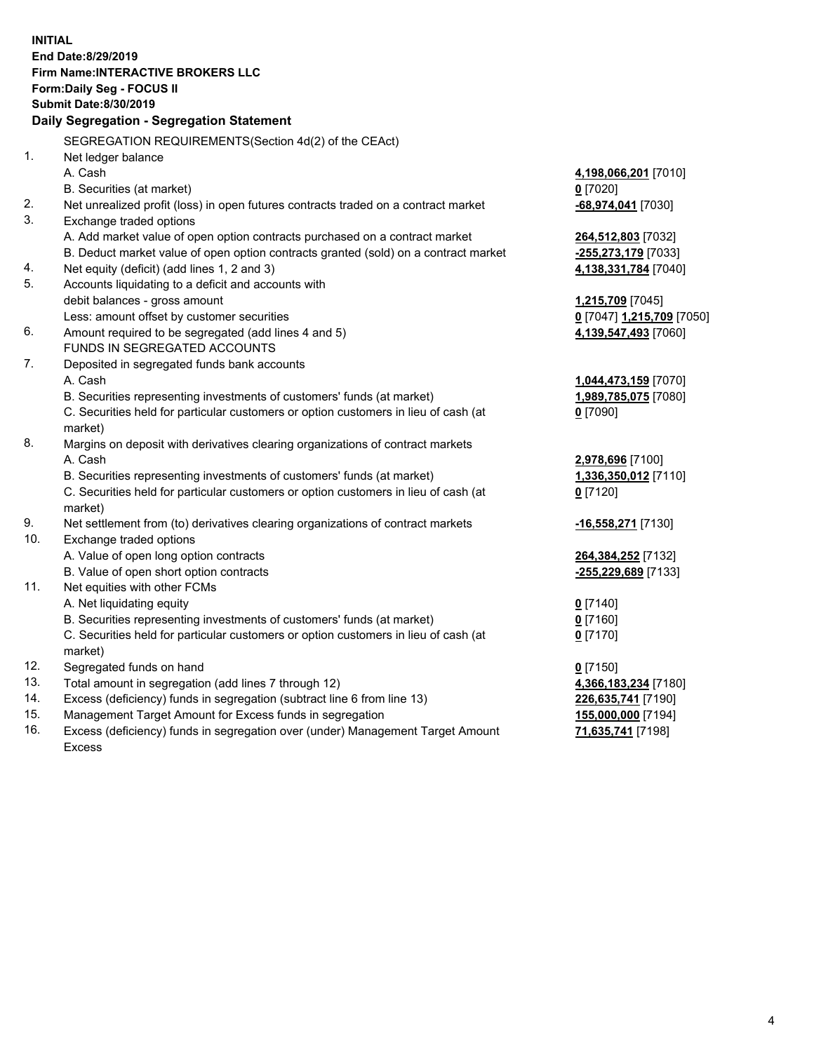**INITIAL End Date:8/29/2019 Firm Name:INTERACTIVE BROKERS LLC Form:Daily Seg - FOCUS II Submit Date:8/30/2019 Daily Segregation - Segregation Statement** SEGREGATION REQUIREMENTS(Section 4d(2) of the CEAct) 1. Net ledger balance A. Cash **4,198,066,201** [7010] B. Securities (at market) **0** [7020] 2. Net unrealized profit (loss) in open futures contracts traded on a contract market **-68,974,041** [7030] 3. Exchange traded options A. Add market value of open option contracts purchased on a contract market **264,512,803** [7032] B. Deduct market value of open option contracts granted (sold) on a contract market **-255,273,179** [7033] 4. Net equity (deficit) (add lines 1, 2 and 3) **4,138,331,784** [7040] 5. Accounts liquidating to a deficit and accounts with debit balances - gross amount **1,215,709** [7045] Less: amount offset by customer securities **0** [7047] **1,215,709** [7050] 6. Amount required to be segregated (add lines 4 and 5) **4,139,547,493** [7060] FUNDS IN SEGREGATED ACCOUNTS 7. Deposited in segregated funds bank accounts A. Cash **1,044,473,159** [7070] B. Securities representing investments of customers' funds (at market) **1,989,785,075** [7080] C. Securities held for particular customers or option customers in lieu of cash (at market) **0** [7090] 8. Margins on deposit with derivatives clearing organizations of contract markets A. Cash **2,978,696** [7100] B. Securities representing investments of customers' funds (at market) **1,336,350,012** [7110] C. Securities held for particular customers or option customers in lieu of cash (at market) **0** [7120] 9. Net settlement from (to) derivatives clearing organizations of contract markets **-16,558,271** [7130] 10. Exchange traded options A. Value of open long option contracts **264,384,252** [7132] B. Value of open short option contracts **-255,229,689** [7133] 11. Net equities with other FCMs A. Net liquidating equity **0** [7140] B. Securities representing investments of customers' funds (at market) **0** [7160] C. Securities held for particular customers or option customers in lieu of cash (at market) **0** [7170] 12. Segregated funds on hand **0** [7150] 13. Total amount in segregation (add lines 7 through 12) **4,366,183,234** [7180] 14. Excess (deficiency) funds in segregation (subtract line 6 from line 13) **226,635,741** [7190] 15. Management Target Amount for Excess funds in segregation **155,000,000** [7194] 16. Excess (deficiency) funds in segregation over (under) Management Target Amount **71,635,741** [7198]

Excess